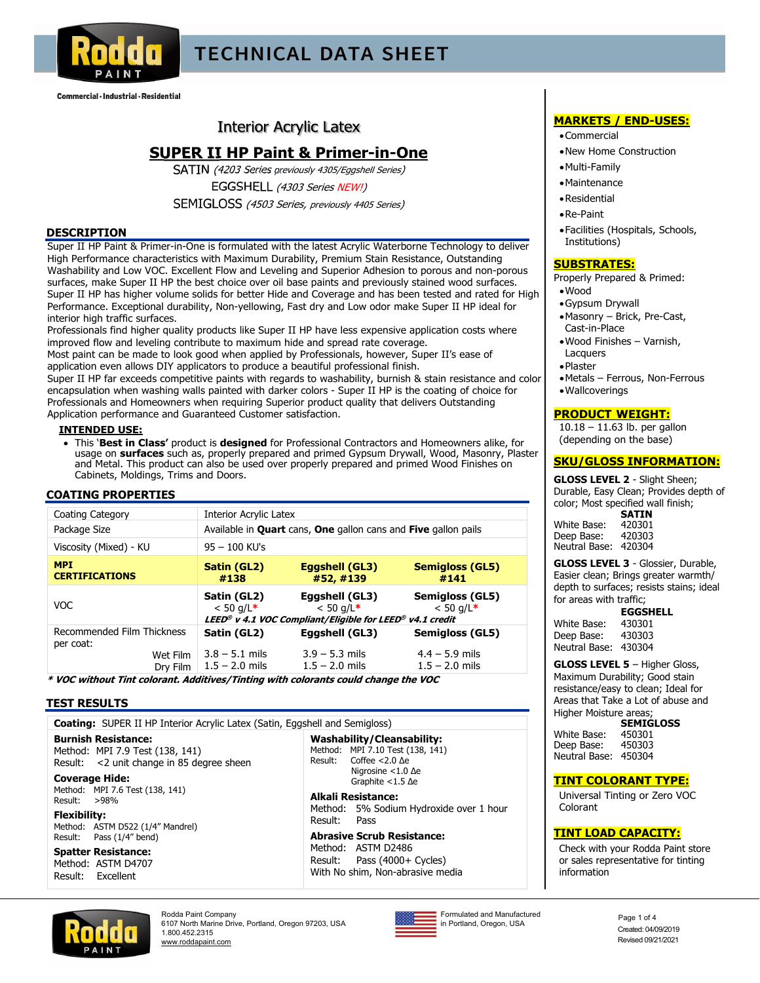

# **TECHNICAL DATA SHEET**

Commercial · Industrial · Residential

## **Interior Acrylic Latex**

## **SUPER II HP Paint & Primer-in-One**

SATIN (4203 Series previously 4305/Eggshell Series) EGGSHELL (4303 Series NEW!)

SEMIGLOSS (4503 Series, previously 4405 Series)

## **DESCRIPTION**

Super II HP Paint & Primer-in-One is formulated with the latest Acrylic Waterborne Technology to deliver High Performance characteristics with Maximum Durability, Premium Stain Resistance, Outstanding Washability and Low VOC. Excellent Flow and Leveling and Superior Adhesion to porous and non-porous surfaces, make Super II HP the best choice over oil base paints and previously stained wood surfaces. Super II HP has higher volume solids for better Hide and Coverage and has been tested and rated for High Performance. Exceptional durability, Non-yellowing, Fast dry and Low odor make Super II HP ideal for interior high traffic surfaces.

Professionals find higher quality products like Super II HP have less expensive application costs where improved flow and leveling contribute to maximum hide and spread rate coverage.

Most paint can be made to look good when applied by Professionals, however, Super II's ease of application even allows DIY applicators to produce a beautiful professional finish.

Super II HP far exceeds competitive paints with regards to washability, burnish & stain resistance and color encapsulation when washing walls painted with darker colors - Super II HP is the coating of choice for Professionals and Homeowners when requiring Superior product quality that delivers Outstanding Application performance and Guaranteed Customer satisfaction.

### **INTENDED USE:**

 This '**Best in Class'** product is **designed** for Professional Contractors and Homeowners alike, for usage on **surfaces** such as, properly prepared and primed Gypsum Drywall, Wood, Masonry, Plaster and Metal. This product can also be used over properly prepared and primed Wood Finishes on Cabinets, Moldings, Trims and Doors.

## **COATING PROPERTIES**

| Coating Category                                                | <b>Interior Acrylic Latex</b>                       |                                                                                                                   |                                                         |
|-----------------------------------------------------------------|-----------------------------------------------------|-------------------------------------------------------------------------------------------------------------------|---------------------------------------------------------|
| Package Size                                                    |                                                     | Available in <b>Quart</b> cans, <b>One</b> gallon cans and <b>Five</b> gallon pails                               |                                                         |
| Viscosity (Mixed) - KU                                          | $95 - 100$ KU's                                     |                                                                                                                   |                                                         |
| <b>MPI</b><br><b>CERTIFICATIONS</b>                             | Satin (GL2)<br>#138                                 | Eggshell (GL3)<br>#52, #139                                                                                       | <b>Semigloss (GL5)</b><br>#141                          |
| <b>VOC</b>                                                      | Satin (GL2)<br>$< 50$ g/L*                          | Eggshell (GL3)<br>$< 50$ g/L*<br>LEED <sup>®</sup> v 4.1 VOC Compliant/Eligible for LEED <sup>®</sup> v4.1 credit | Semigloss (GL5)<br>$< 50$ g/L*                          |
| Recommended Film Thickness<br>per coat:<br>Wet Film<br>Dry Film | Satin (GL2)<br>$3.8 - 5.1$ mils<br>$1.5 - 2.0$ mils | Eggshell (GL3)<br>$3.9 - 5.3$ mils<br>$1.5 - 2.0$ mils                                                            | Semigloss (GL5)<br>$4.4 - 5.9$ mils<br>$1.5 - 2.0$ mils |

**\* VOC without Tint colorant. Additives/Tinting with colorants could change the VOC** 

## **TEST RESULTS**

| <b>Coating:</b> SUPER II HP Interior Acrylic Latex (Satin, Eggshell and Semigloss)                                                    |                                                                                                                                                                                                                                                            |  |  |  |
|---------------------------------------------------------------------------------------------------------------------------------------|------------------------------------------------------------------------------------------------------------------------------------------------------------------------------------------------------------------------------------------------------------|--|--|--|
| <b>Burnish Resistance:</b><br>Method: MPI 7.9 Test (138, 141)<br>Result: < 2 unit change in 85 degree sheen                           | Washability/Cleansability:<br>Method: MPI 7.10 Test (138, 141)<br>Result: Coffee $<$ 2.0 $\Delta$ e<br>Nigrosine $<$ 1.0 $\Delta$ e<br>Graphite $<$ 1.5 $\Delta$ e<br><b>Alkali Resistance:</b><br>Method: 5% Sodium Hydroxide over 1 hour<br>Result: Pass |  |  |  |
| <b>Coverage Hide:</b><br>Method: MPI 7.6 Test (138, 141)<br>Result: $>98%$<br><b>Flexibility:</b>                                     |                                                                                                                                                                                                                                                            |  |  |  |
| Method: ASTM D522 (1/4" Mandrel)<br>Result: Pass (1/4" bend)<br><b>Spatter Resistance:</b><br>Method: ASTM D4707<br>Result: Excellent | <b>Abrasive Scrub Resistance:</b><br>Method: ASTM D2486<br>Result: Pass (4000+ Cycles)<br>With No shim, Non-abrasive media                                                                                                                                 |  |  |  |
|                                                                                                                                       |                                                                                                                                                                                                                                                            |  |  |  |

## **MARKETS / END-USES:**

- Commercial
- New Home Construction
- Multi-Family
- Maintenance
- Residential
- Re-Paint
- Facilities (Hospitals, Schools, Institutions)

### **SUBSTRATES:**

Properly Prepared & Primed:

- Wood
- Gypsum Drywall
- Masonry Brick, Pre-Cast, Cast-in-Place
- Wood Finishes Varnish, Lacquers
- Plaster
- 
- Metals Ferrous, Non-Ferrous
- Wallcoverings

## **PRODUCT WEIGHT:**

10.18 – 11.63 lb. per gallon (depending on the base)

## **SKU/GLOSS INFORMATION:**

**GLOSS LEVEL 2** - Slight Sheen; Durable, Easy Clean; Provides depth of color; Most specified wall finish;

 **SATIN**  White Base: Deep Base: 420303 Neutral Base: 420304

**GLOSS LEVEL 3** - Glossier, Durable, Easier clean; Brings greater warmth/ depth to surfaces; resists stains; ideal for areas with traffic;

## **EGGSHELL**

White Base: Deep Base: 430303 Neutral Base: 430304

## **GLOSS LEVEL 5** – Higher Gloss,

Maximum Durability; Good stain resistance/easy to clean; Ideal for Areas that Take a Lot of abuse and Higher Moisture areas;

## **SEMIGLOSS**<br>450301

**White Base: 450301<br>Deen Base: 450303** Deen Base: Neutral Base: 450304

## **TINT COLORANT TYPE:**

Universal Tinting or Zero VOC Colorant

### **TINT LOAD CAPACITY:**

Check with your Rodda Paint store or sales representative for tinting information



Rodda Paint Company 6107 North Marine Drive, Portland, Oregon 97203, USA 1.800.452.2315 www.roddapaint.com



Formulated and Manufactured Formulated and Manufactured<br>in Portland, Oregon, USA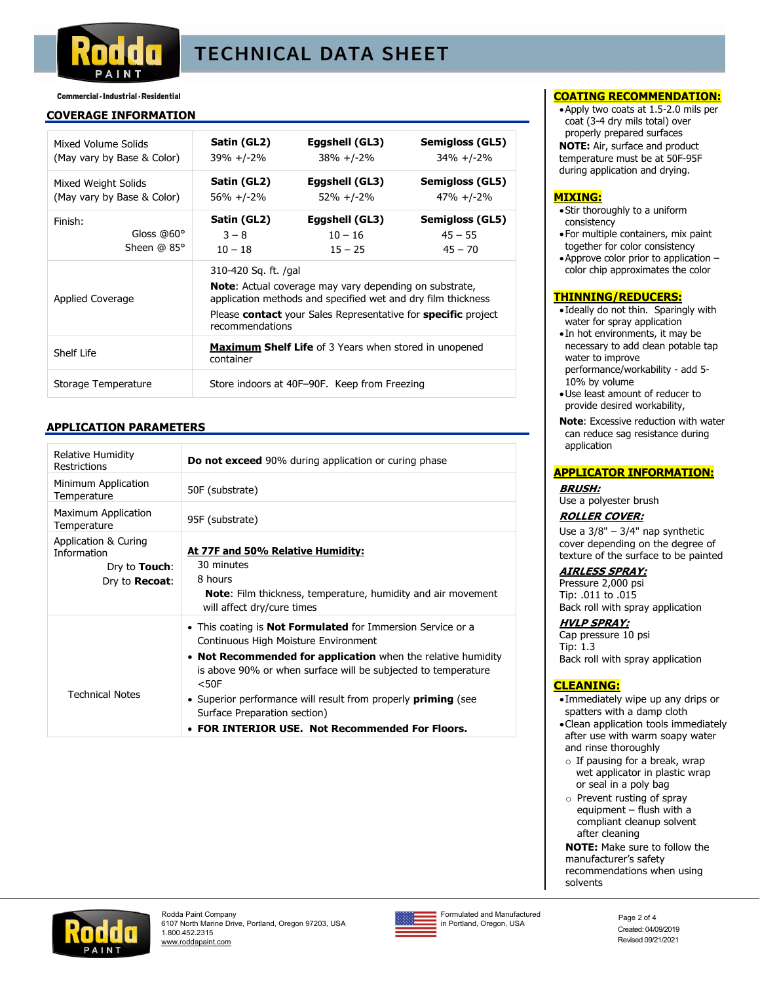

# **TECHNICAL DATA SHEET**

## Commercial · Industrial · Residential

### **COVERAGE INFORMATION**

| Mixed Volume Solids        | Satin (GL2)                                                                                                                                           | Eggshell (GL3)                                               | Semigloss (GL5) |  |
|----------------------------|-------------------------------------------------------------------------------------------------------------------------------------------------------|--------------------------------------------------------------|-----------------|--|
| (May vary by Base & Color) | 39% +/-2%                                                                                                                                             | $38\% + (-2)\%$                                              | $34\% + (-2)\%$ |  |
| Mixed Weight Solids        | Satin (GL2)                                                                                                                                           | Eggshell (GL3)                                               | Semigloss (GL5) |  |
| (May vary by Base & Color) | $56\% + (-2)\%$                                                                                                                                       | $52\% + (-2\%$                                               | $47\% + (-2\%$  |  |
| Finish:                    | Satin (GL2)                                                                                                                                           | Eggshell (GL3)                                               | Semigloss (GL5) |  |
| Gloss $@60°$               | $3 - 8$                                                                                                                                               | $10 - 16$                                                    | $45 - 55$       |  |
| Sheen $@$ 85 $°$           | $10 - 18$                                                                                                                                             | $15 - 25$                                                    | $45 - 70$       |  |
| Applied Coverage           | 310-420 Sq. ft. /gal<br><b>Note:</b> Actual coverage may vary depending on substrate,<br>application methods and specified wet and dry film thickness |                                                              |                 |  |
|                            | Please <b>contact</b> your Sales Representative for <b>specific</b> project<br>recommendations                                                        |                                                              |                 |  |
| Shelf Life                 | container                                                                                                                                             | <b>Maximum Shelf Life</b> of 3 Years when stored in unopened |                 |  |
| Storage Temperature        | Store indoors at 40F-90F. Keep from Freezing                                                                                                          |                                                              |                 |  |

## **APPLICATION PARAMETERS**

| Relative Humidity<br><b>Restrictions</b>                                              | <b>Do not exceed</b> 90% during application or curing phase                                                                                                                                                                                                                                                                                                                                                          |
|---------------------------------------------------------------------------------------|----------------------------------------------------------------------------------------------------------------------------------------------------------------------------------------------------------------------------------------------------------------------------------------------------------------------------------------------------------------------------------------------------------------------|
| Minimum Application<br>Temperature                                                    | 50F (substrate)                                                                                                                                                                                                                                                                                                                                                                                                      |
| Maximum Application<br>Temperature                                                    | 95F (substrate)                                                                                                                                                                                                                                                                                                                                                                                                      |
| Application & Curing<br>Information<br>Dry to <b>Touch</b> :<br>Dry to <b>Recoat:</b> | At 77F and 50% Relative Humidity:<br>30 minutes<br>8 hours<br><b>Note:</b> Film thickness, temperature, humidity and air movement<br>will affect dry/cure times                                                                                                                                                                                                                                                      |
| <b>Technical Notes</b>                                                                | • This coating is <b>Not Formulated</b> for Immersion Service or a<br>Continuous High Moisture Environment<br>• Not Recommended for application when the relative humidity<br>is above 90% or when surface will be subjected to temperature<br>$<$ 50 $F$<br>• Superior performance will result from properly <b>priming</b> (see<br>Surface Preparation section)<br>• FOR INTERIOR USE. Not Recommended For Floors. |

### **COATING RECOMMENDATION:**

Apply two coats at 1.5-2.0 mils per coat (3-4 dry mils total) over properly prepared surfaces **NOTE:** Air, surface and product temperature must be at 50F-95F during application and drying.

### **MIXING:**

- Stir thoroughly to a uniform consistency
- For multiple containers, mix paint together for color consistency
- Approve color prior to application color chip approximates the color

### **THINNING/REDUCERS:**

- Ideally do not thin. Sparingly with water for spray application
- In hot environments, it may be necessary to add clean potable tap water to improve performance/workability - add 5- 10% by volume
- Use least amount of reducer to provide desired workability,
- **Note**: Excessive reduction with water can reduce sag resistance during application

### **APPLICATOR INFORMATION:**

**BRUSH:** Use a polyester brush

### **ROLLER COVER:**

Use a 3/8" – 3/4" nap synthetic cover depending on the degree of texture of the surface to be painted

**AIRLESS SPRAY:** Pressure 2,000 psi Tip: .011 to .015 Back roll with spray application

### **HVLP SPRAY:**

Cap pressure 10 psi Tip: 1.3 Back roll with spray application

## **CLEANING:**

- Immediately wipe up any drips or spatters with a damp cloth
- Clean application tools immediately after use with warm soapy water and rinse thoroughly
- $\circ$  If pausing for a break, wrap wet applicator in plastic wrap or seal in a poly bag
- o Prevent rusting of spray equipment – flush with a compliant cleanup solvent after cleaning

**NOTE:** Make sure to follow the manufacturer's safety recommendations when using solvents





Formulated and Manufactured Formulated and Manufactured<br>in Portland, Oregon, USA Page 2 of 4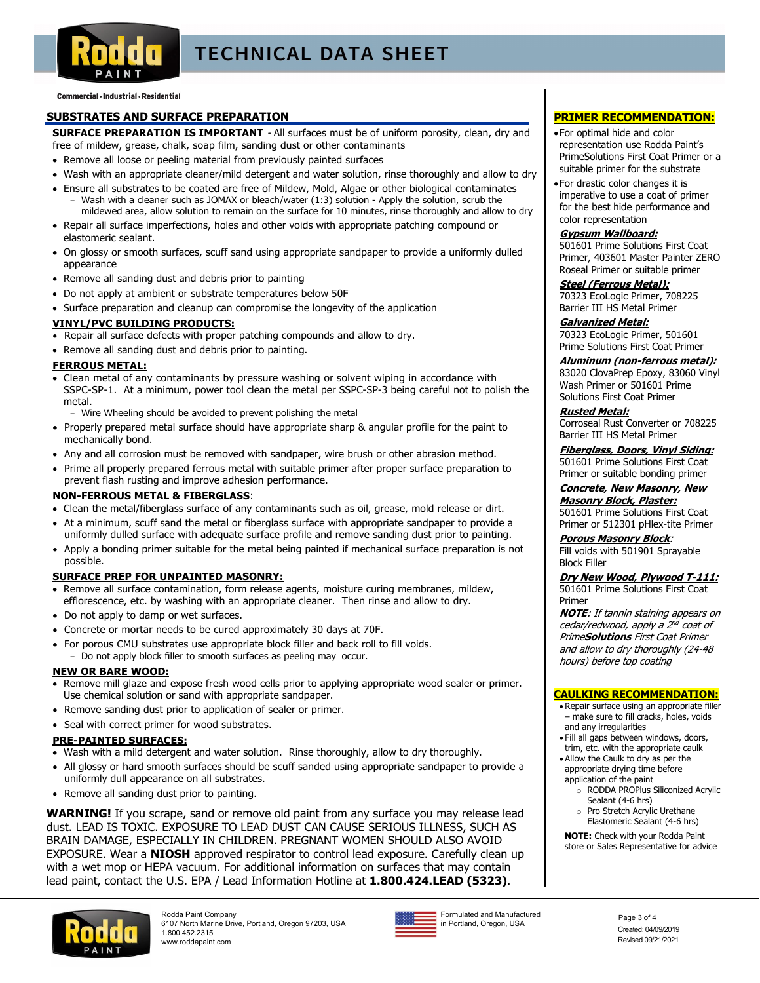

# **TECHNICAL DATA SHEET**

Commercial · Industrial · Residential

## **SUBSTRATES AND SURFACE PREPARATION**

**SURFACE PREPARATION IS IMPORTANT** - All surfaces must be of uniform porosity, clean, dry and free of mildew, grease, chalk, soap film, sanding dust or other contaminants

- Remove all loose or peeling material from previously painted surfaces
- Wash with an appropriate cleaner/mild detergent and water solution, rinse thoroughly and allow to dry
- Ensure all substrates to be coated are free of Mildew, Mold, Algae or other biological contaminates Wash with a cleaner such as JOMAX or bleach/water (1:3) solution - Apply the solution, scrub the
- mildewed area, allow solution to remain on the surface for 10 minutes, rinse thoroughly and allow to dry • Repair all surface imperfections, holes and other voids with appropriate patching compound or elastomeric sealant.
- On glossy or smooth surfaces, scuff sand using appropriate sandpaper to provide a uniformly dulled appearance
- Remove all sanding dust and debris prior to painting
- Do not apply at ambient or substrate temperatures below 50F
- Surface preparation and cleanup can compromise the longevity of the application

### **VINYL/PVC BUILDING PRODUCTS:**

- Repair all surface defects with proper patching compounds and allow to dry.
- Remove all sanding dust and debris prior to painting.

### **FERROUS METAL:**

- Clean metal of any contaminants by pressure washing or solvent wiping in accordance with SSPC-SP-1. At a minimum, power tool clean the metal per SSPC-SP-3 being careful not to polish the metal.
	- Wire Wheeling should be avoided to prevent polishing the metal
- Properly prepared metal surface should have appropriate sharp & angular profile for the paint to mechanically bond.
- Any and all corrosion must be removed with sandpaper, wire brush or other abrasion method.
- Prime all properly prepared ferrous metal with suitable primer after proper surface preparation to prevent flash rusting and improve adhesion performance.

### **NON-FERROUS METAL & FIBERGLASS**:

- Clean the metal/fiberglass surface of any contaminants such as oil, grease, mold release or dirt.
- At a minimum, scuff sand the metal or fiberglass surface with appropriate sandpaper to provide a uniformly dulled surface with adequate surface profile and remove sanding dust prior to painting.
- Apply a bonding primer suitable for the metal being painted if mechanical surface preparation is not possible.

### **SURFACE PREP FOR UNPAINTED MASONRY:**

- Remove all surface contamination, form release agents, moisture curing membranes, mildew, efflorescence, etc. by washing with an appropriate cleaner. Then rinse and allow to dry.
- Do not apply to damp or wet surfaces.
- Concrete or mortar needs to be cured approximately 30 days at 70F.
- For porous CMU substrates use appropriate block filler and back roll to fill voids.
- Do not apply block filler to smooth surfaces as peeling may occur.

### **NEW OR BARE WOOD:**

- Remove mill glaze and expose fresh wood cells prior to applying appropriate wood sealer or primer. Use chemical solution or sand with appropriate sandpaper.
- Remove sanding dust prior to application of sealer or primer.
- Seal with correct primer for wood substrates.

### **PRE-PAINTED SURFACES:**

- Wash with a mild detergent and water solution. Rinse thoroughly, allow to dry thoroughly.
- All glossy or hard smooth surfaces should be scuff sanded using appropriate sandpaper to provide a uniformly dull appearance on all substrates.
- Remove all sanding dust prior to painting.

**WARNING!** If you scrape, sand or remove old paint from any surface you may release lead dust. LEAD IS TOXIC. EXPOSURE TO LEAD DUST CAN CAUSE SERIOUS ILLNESS, SUCH AS BRAIN DAMAGE, ESPECIALLY IN CHILDREN. PREGNANT WOMEN SHOULD ALSO AVOID EXPOSURE. Wear a **NIOSH** approved respirator to control lead exposure. Carefully clean up with a wet mop or HEPA vacuum. For additional information on surfaces that may contain lead paint, contact the U.S. EPA / Lead Information Hotline at **1.800.424.LEAD (5323)**.





Formulated and Manufactured Formulated and Manufactured<br>in Portland, Oregon, USA Page 3 of 4

## **PRIMER RECOMMENDATION:**

- For optimal hide and color representation use Rodda Paint's PrimeSolutions First Coat Primer or a suitable primer for the substrate
- For drastic color changes it is imperative to use a coat of primer for the best hide performance and color representation

### **Gypsum Wallboard:**

501601 Prime Solutions First Coat Primer, 403601 Master Painter ZERO Roseal Primer or suitable primer

#### **Steel (Ferrous Metal):**  70323 EcoLogic Primer, 708225 Barrier III HS Metal Primer

**Galvanized Metal:**  70323 EcoLogic Primer, 501601 Prime Solutions First Coat Primer

## **Aluminum (non-ferrous metal):**

83020 ClovaPrep Epoxy, 83060 Vinyl Wash Primer or 501601 Prime Solutions First Coat Primer

#### **Rusted Metal:**

Corroseal Rust Converter or 708225 Barrier III HS Metal Primer

**Fiberglass, Doors, Vinyl Siding:** 501601 Prime Solutions First Coat Primer or suitable bonding primer

#### **Concrete, New Masonry, New Masonry Block, Plaster:**  501601 Prime Solutions First Coat

Primer or 512301 pHlex-tite Primer

**Porous Masonry Block**: Fill voids with 501901 Sprayable

## Block Filler

#### **Dry New Wood, Plywood T-111:**  501601 Prime Solutions First Coat

Primer **NOTE**: If tannin staining appears on cedar/redwood, apply a 2<sup>nd</sup> coat of

Prime**Solutions** First Coat Primer and allow to dry thoroughly (24-48 hours) before top coating

### **CAULKING RECOMMENDATION:**

- Repair surface using an appropriate filler – make sure to fill cracks, holes, voids and any irregularities
- Fill all gaps between windows, doors, trim, etc. with the appropriate caulk
- Allow the Caulk to dry as per the appropriate drying time before application of the paint
	- o RODDA PROPlus Siliconized Acrylic Sealant (4-6 hrs)
	- o Pro Stretch Acrylic Urethane
	- Elastomeric Sealant (4-6 hrs)

**NOTE:** Check with your Rodda Paint store or Sales Representative for advice